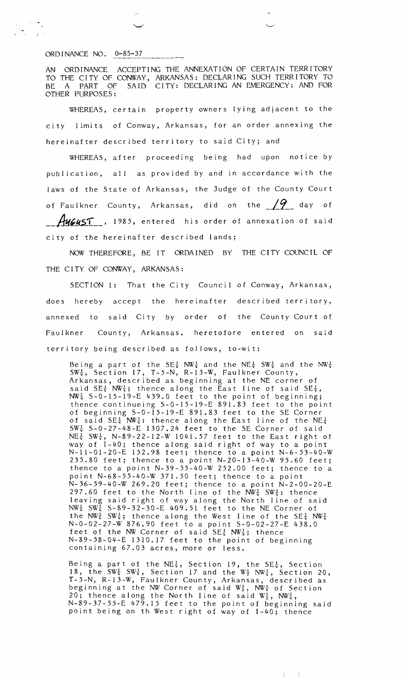## ORD I NANCE NO.  $0-85-37$

AN ORDINANCE ACCEPTING THE ANNEXATION OF CERTAIN TERRITORY TO THE CITY OF CONWAY, ARKANSAS: DECLARING SUCH TERRITORY TO BE A PART OF SAID CITY: DECLARING AN EMERGENCY: AND FOR OTHER PURPOSES:

WHEREAS, certain property owners lying adjacent to the city limits of Conway, Arkansas, for an order annexing the hereinafter described territory to said City; and

WHEREAS, after proceeding being had upon notice by publication, all as provided by and in accordance with the laws of the State of Arkansas, the Judge of the County Court of Faulkner County, Arkansas, did on the  $19$  day of Hugust\_, 1985, entered his order of annexation of said city of the hereinafter described lands;

NOW THEREFORE, BE IT ORDAINED BY THE CITY COUNCIL OF THE CITY OF CONWAY, ARKANSAS:

SECTION 1: That the City Council of Conway, Arkansas, does hereby accept the hereinafter described territory, annexed to said City by order of the County Court of Faulkner County, Arkansas, heretofore entered on said territory being described as follows, to-wit:

Being a part of the SE $\frac{1}{4}$  NW $\frac{1}{4}$  and the N $\mathbb{E}$   $\frac{1}{4}$  SW $\frac{1}{4}$  and the NW $\frac{1}{4}$  $\text{SW}^1_{\overline{u}}$ , Section 17, T-5-N, R-13-W, Faulkner County, Arkansas, described as beginning at the NE corner of said SE $\frac{1}{4}$  NW $\frac{1}{4}$ ; thence along the East line of said SE $\frac{1}{4}$ ,  $\text{NW}\frac{1}{4}$  S-0-15-19-E 439.0 feet to the point of beginning; thence continueing S-0-15-19-E 891.83 feet to the point of beginning S-0-15-19-E 891.83 feet to the SE Corner of said SE $\frac{1}{4}$  NW $\frac{1}{4}$ : thence along the East line of the NE $\frac{1}{4}$  $\mathrm{SW^1_4}$  S-0-27-48-E 1307.24 feet to the SE Corner of said  $NE\frac{1}{4}$  SW $\frac{1}{4}$ , N-89-22-12-W 1041.57 feet to the East right of way of 1-40; thence along said right of way to a point N-11-01-20-E 152.98 feet; thence to a point N-6-53-40-W 235.80 feet; thence to a point N-20-13-40-W 95.60 feet; thence to a point  $N-39-55-40-W$  252.00 feet; thence to a point N-68-55-40-W 371.50 feet; thence to a point N-36-59-40-W 269.20 feet; thence to a point N-2-00-20-E 297.60 feet to the North line of the  $\texttt{NW}^1_{\overline{u}}$  SW $^1_{\overline{u}}$ : thence leaving said right of way along the North line of said **NW\$** SW; S-89-32-30-E 409.51 feet to the NE Corner of the  $\text{NW}\frac{1}{4}$  SW $\frac{1}{4}$ ; thence along the West line of the SE $\frac{1}{4}$   $\text{NW}\frac{1}{4}$ N-0-02-27-W 876.90 feet to a point S-0-02-27-E 438.0 feet of the NW Corner of said  $SE\frac{1}{4}$  NW $\frac{1}{4}$ ; thence N-89-58-04-E 1310.17 feet to the point of beginning containing 67.03 acres, more or less.

Being a part of the NE $\frac{1}{4}$ , Section 19, the SE $\frac{1}{4}$ , Section 18, the SW<sup>1</sup> SW<sup>1</sup>, Section 17 and the  $W_{\frac{1}{2}}$  NW<sup>1</sup>, Section 20, T-5-N, R-13-W, Faulkner County, Arkansas, described as beginning at the NW Corner of said  $\mathbb{W}_{\frac{1}{2}}$ ,  $\mathbb{N}\mathbb{W}_{\frac{1}{2}}$  of Section 20; thence along the North line of said  $W_2^1$ , NW $\frac{1}{4}$ , N-89-37-55-E 479.15 feet to the point of beginning said point being on th West right of way of 1-40; thence

 $\mathbb{R}$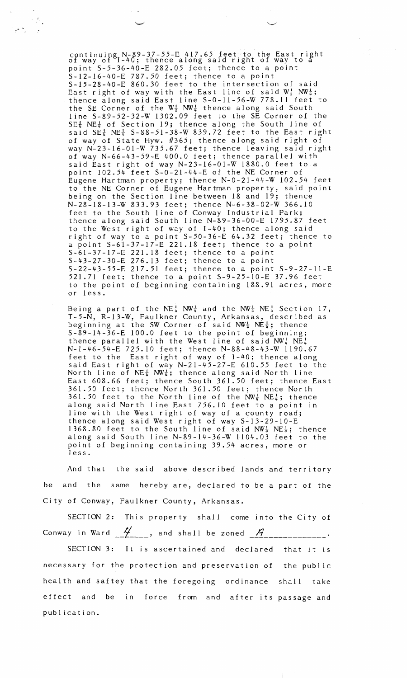continuing N-89-37-55-E 417.65 feet to the East right<br>of way of I-40; thence along said right of way to a point S-5-36-40-E 282.05 feet; thence to a point S-12-16-40-E 787.50 feet; thence to a point S-15-28-40-E 860.30 feet to the intersection of said East right of way with the East line of said  $\mathbb{W}^1_{\frac{1}{2}}$   $\mathsf{NW}^\mathsf{T}_{\frac{1}{2}}$  ; thence along said East line S-0-11-56-W 778.11 feet to the SE Corner of the  $\mathbb{W}^1_2$   $\mathsf{NW}^1_4$  thence along said South line S-89-52-32-W 1302.09 feet to the SE Corner of the  $SE_{\frac{t}{2}}^{t}$  NE $\frac{t}{2}$  of Section 19; thence along the South line of said  $SE_{\frac{1}{4}}^{1}$  NE $\frac{1}{4}$  S-88-51-38-W 839.72 feet to the East right of way of State Hyw. #365; thence along said right of way N-23-16-01-W 735.67 feet; thence leaving said right of way N-66-43-59-E 400.0 feet; thence parallel with said East right of way N-23-16-01-W 1880.0 feet to a point 102.54 feet S-0-21-44-E of the NE Corner of Eugene Hartman property; thence N-0-21-44-W 102.54 feet to the NE Corner of Eugene Hartman property, said point being on the Section line between 18 and 19; thence N-28-18-13-W 833.93 feet; thence N-6-38-02-W 366.10 feet to the South line of Conway Industrial Park; thence along said South line N-89-36-00-E 1795.87 feet to the West right of way of 1-40; thence along said right of way to a point S-50-36-E 64.32 feet; thence to a point S-61-37-17-E 221.18 feet; thence to a point S-61-37-17-E 221.18 feet; thence to a point S-43-27-30-E 276.13 feet; thence to a point S-22-43-55-E 217.51 feet; thence to a point S-9-27-11-E 521.71 feet; thence to a point S-9-25-10-E 37.96 feet to the point of beginning containing 188.91 acres, more or less.

Being a part of the NE $\frac{1}{4}$  NW $\frac{1}{4}$  and the NW $\frac{1}{4}$  NE $\frac{1}{4}$  Section 17, T-5-N, R-13-W, Faulkner County, Arkansas, described as beginning at the SW Corner of said  $\texttt{NW}^\texttt{1}_\texttt{4}$  , thence S-89-14-36-E 100.0 feet to the point of beginning; thence parallel with the West line of said  $NW_{\frac{1}{4}}$   $NE_{\frac{1}{4}}$ N-1-46-54-E 725.10 feet; thence N-88-48-43-W 1190.67 feet to the East right of way of 1-40; thence along said East right of way N-21-45-27-E 610.55 feet to the North line of  $NE_{\frac{1}{4}}$  NW $_{\frac{1}{4}}$ ; thence along said North line East 608.66 feet; thence South 361.50 feet; thence East 361.50 feet; thence North 361.50 feet; thence North 361.50 feet to the North line of the  $\texttt{NW}^1_{\overline{u}}$   $\texttt{NE}^1_{\overline{u}}$ ; thence along said North line East 756.10 feet to a point in line with the West right of way of a county road; thence along said West right of way S-13-29-10-E 1368.80 feet to the South line of said  $\texttt{NW}^1_{\frac{1}{4}}$   $\texttt{NE}^1_{\frac{1}{4}}$ ; thence along said South line N-89-14-36-W 1104.03 feet to the point of beginning containing 39.54 acres, more or less.

And that the said above described lands and territory be and the same hereby are, declared to be a part of the City of Conway, Faulkner County, Arkansas.

SECTION 2: This property shall come into the City of Conway in Ward  $\mathcal{L}_{\text{max}}$ , and shall be zoned  $\mathcal{L}_{\text{max}}$ 

SECTION 3: It is ascertained and declared that it is necessary for the protection and preservation of the public health and saftey that the foregoing ordinance shall take effect and be in force from and after its passage and publication.